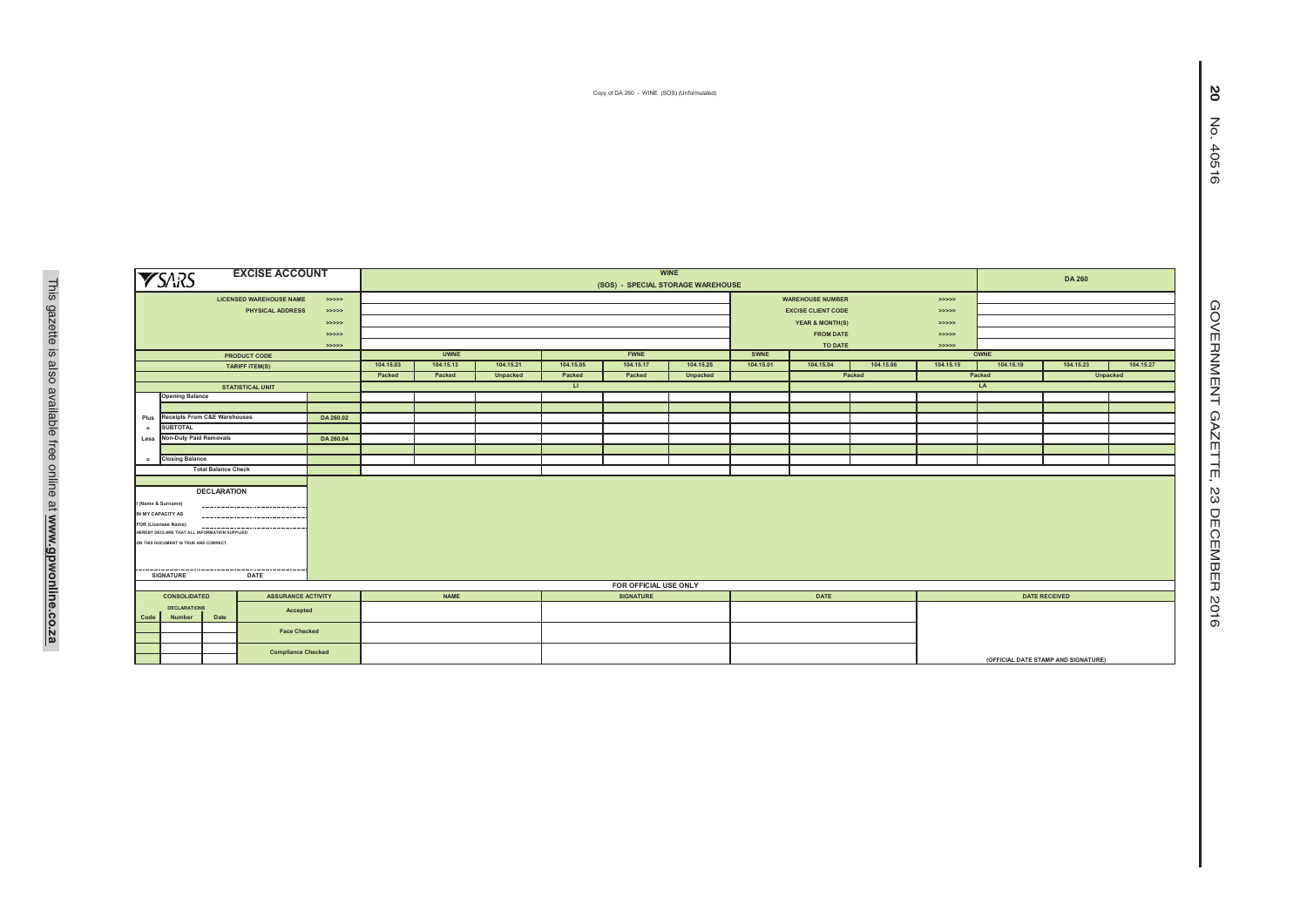Copy of DA 260 - WINE (SOS) (Unformulated)

|                                              | <b>YSARS</b>                                 | <b>EXCISE ACCOUNT</b>               |                           |           | <b>WINE</b>                       |           |                  |                       |           |           |                           |           |                                     |           |                      | <b>DA 260</b> |  |  |
|----------------------------------------------|----------------------------------------------|-------------------------------------|---------------------------|-----------|-----------------------------------|-----------|------------------|-----------------------|-----------|-----------|---------------------------|-----------|-------------------------------------|-----------|----------------------|---------------|--|--|
|                                              |                                              |                                     |                           |           | (SOS) - SPECIAL STORAGE WAREHOUSE |           |                  |                       |           |           |                           |           |                                     |           |                      |               |  |  |
|                                              |                                              | <b>LICENSED WAREHOUSE NAME</b>      | >>>>>                     |           |                                   |           |                  |                       |           |           | <b>WAREHOUSE NUMBER</b>   |           |                                     |           |                      |               |  |  |
|                                              |                                              | <b>PHYSICAL ADDRESS</b>             | > >> > > >                |           |                                   |           |                  |                       |           |           | <b>EXCISE CLIENT CODE</b> |           |                                     |           |                      |               |  |  |
|                                              |                                              |                                     | > >> > > >                |           |                                   |           |                  |                       |           |           | YEAR & MONTH(S)           |           |                                     |           |                      |               |  |  |
|                                              |                                              |                                     | > >> > > >                |           |                                   |           |                  |                       |           |           | <b>FROM DATE</b>          | > >> > >  |                                     |           |                      |               |  |  |
|                                              |                                              |                                     | >>>>>                     |           |                                   |           |                  |                       |           |           | TO DATE                   |           |                                     |           |                      |               |  |  |
|                                              |                                              | PRODUCT CODE                        |                           |           | <b>UWNE</b>                       |           |                  | <b>FWNE</b>           |           | SWNE      |                           |           | OWNE                                |           |                      |               |  |  |
|                                              |                                              | <b>TARIFF ITEM(S)</b>               |                           | 104.15.03 | 104.15.13                         | 104.15.21 | 104.15.05        | 104.15.17             | 104.15.25 | 104.15.01 | 104.15.04                 | 104.15.06 | 104.15.15                           | 104.15.19 | 104.15.23            |               |  |  |
|                                              |                                              |                                     |                           | Packed    | Packed                            | Unpacked  | Packed           | Packed                | Unpacked  |           |                           | Packed    | Packed<br>Unpacked                  |           |                      |               |  |  |
|                                              |                                              | <b>STATISTICAL UNIT</b>             |                           | $\Box$    |                                   |           |                  |                       |           |           | LA                        |           |                                     |           |                      |               |  |  |
|                                              | <b>Opening Balance</b>                       |                                     |                           |           |                                   |           |                  |                       |           |           |                           |           |                                     |           |                      |               |  |  |
|                                              |                                              |                                     |                           |           |                                   |           |                  |                       |           |           |                           |           |                                     |           |                      |               |  |  |
| Plus                                         | <b>Receipts From C&amp;E Warehouses</b>      |                                     | DA 260.02                 |           |                                   |           |                  |                       |           |           |                           |           |                                     |           |                      |               |  |  |
|                                              | <b>SUBTOTAL</b>                              |                                     |                           |           |                                   |           |                  |                       |           |           |                           |           |                                     |           |                      |               |  |  |
|                                              | Less Non-Duty Paid Removals                  |                                     | DA 260.04                 |           |                                   |           |                  |                       |           |           |                           |           |                                     |           |                      |               |  |  |
| $=$                                          | <b>Closing Balance</b>                       |                                     |                           |           |                                   |           |                  |                       |           |           |                           |           |                                     |           |                      |               |  |  |
| <b>Total Balance Check</b>                   |                                              |                                     |                           |           |                                   |           |                  |                       |           |           |                           |           |                                     |           |                      |               |  |  |
|                                              |                                              |                                     |                           |           |                                   |           |                  |                       |           |           |                           |           |                                     |           |                      |               |  |  |
|                                              |                                              | <b>DECLARATION</b>                  |                           |           |                                   |           |                  |                       |           |           |                           |           |                                     |           |                      |               |  |  |
|                                              |                                              |                                     |                           |           |                                   |           |                  |                       |           |           |                           |           |                                     |           |                      |               |  |  |
|                                              | I (Name & Surname)                           |                                     |                           |           |                                   |           |                  |                       |           |           |                           |           |                                     |           |                      |               |  |  |
| IN MY CAPACITY AS<br><br>FOR (Licensee Name) |                                              |                                     |                           |           |                                   |           |                  |                       |           |           |                           |           |                                     |           |                      |               |  |  |
|                                              | HEREBY DECLARE THAT ALL INFORMATION SUPPLIED |                                     |                           |           |                                   |           |                  |                       |           |           |                           |           |                                     |           |                      |               |  |  |
|                                              | ON THIS DOCUMENT IS TRUE AND CORRECT.        |                                     |                           |           |                                   |           |                  |                       |           |           |                           |           |                                     |           |                      |               |  |  |
|                                              |                                              |                                     |                           |           |                                   |           |                  |                       |           |           |                           |           |                                     |           |                      |               |  |  |
|                                              |                                              |                                     |                           |           |                                   |           |                  |                       |           |           |                           |           |                                     |           |                      |               |  |  |
|                                              | <b>SIGNATURE</b>                             | -----------<br>------------<br>DATE |                           |           |                                   |           |                  |                       |           |           |                           |           |                                     |           |                      |               |  |  |
|                                              |                                              |                                     |                           |           |                                   |           |                  | FOR OFFICIAL USE ONLY |           |           |                           |           |                                     |           |                      |               |  |  |
|                                              | <b>CONSOLIDATED</b>                          | <b>ASSURANCE ACTIVITY</b>           |                           |           | <b>NAME</b>                       |           | <b>SIGNATURE</b> |                       |           |           | DATE                      |           |                                     |           | <b>DATE RECEIVED</b> |               |  |  |
| <b>DECLARATIONS</b>                          |                                              | Accepted                            |                           |           |                                   |           |                  |                       |           |           |                           |           |                                     |           |                      |               |  |  |
| Code                                         | Number                                       | Date                                |                           |           |                                   |           |                  |                       |           |           |                           |           |                                     |           |                      |               |  |  |
| <b>Face Checked</b>                          |                                              |                                     |                           |           |                                   |           |                  |                       |           |           |                           |           |                                     |           |                      |               |  |  |
|                                              |                                              |                                     |                           |           |                                   |           |                  |                       |           |           |                           |           |                                     |           |                      |               |  |  |
|                                              |                                              |                                     | <b>Compliance Checked</b> |           |                                   |           |                  |                       |           |           |                           |           |                                     |           |                      |               |  |  |
|                                              |                                              |                                     |                           |           |                                   |           |                  |                       |           |           |                           |           | (OFFICIAL DATE STAMP AND SIGNATURE) |           |                      |               |  |  |

**104.15.27**

**(OFFICIAL DATE STAMP AND SIGNATURE)**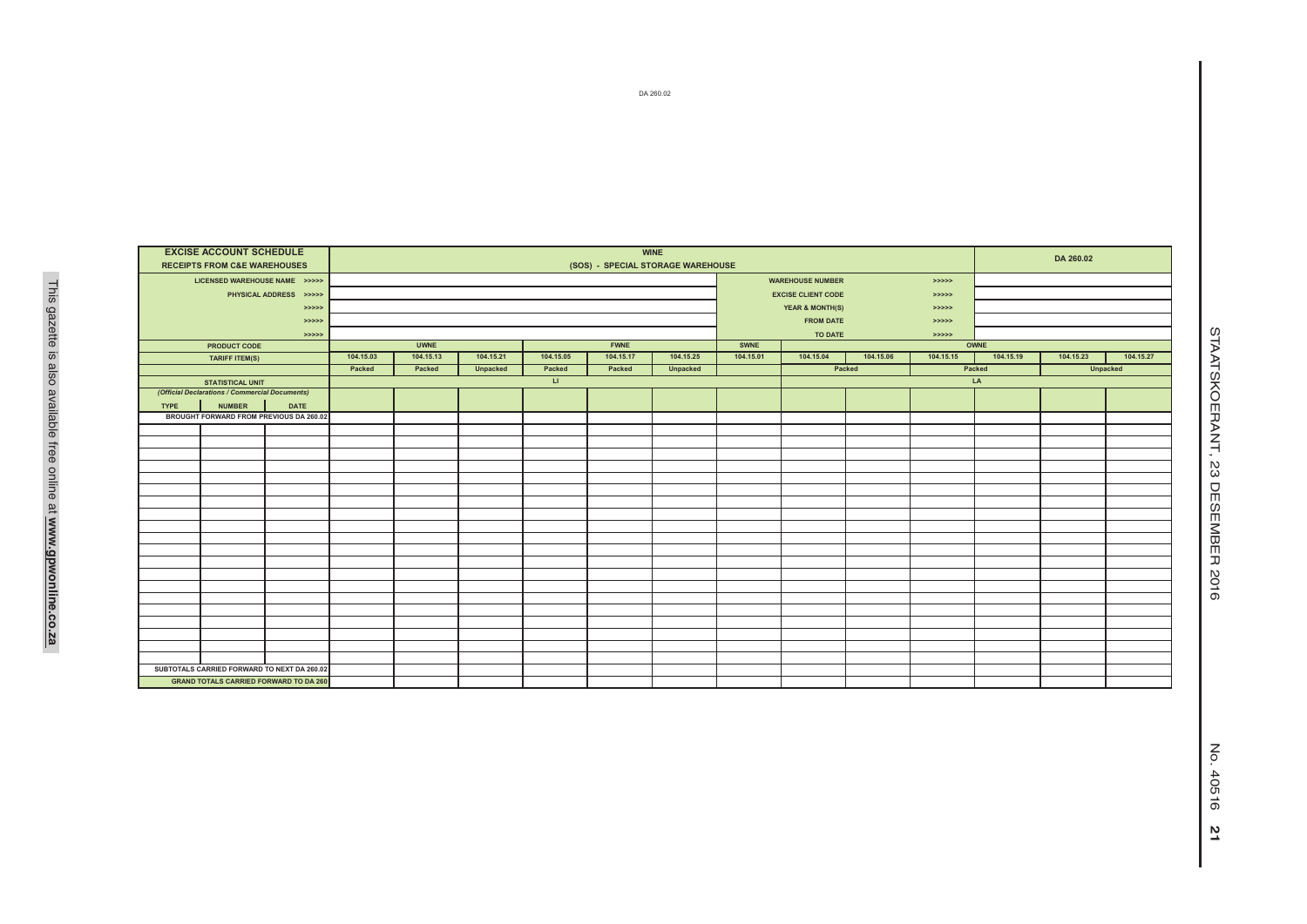| <b>EXCISE ACCOUNT SCHEDULE</b>                 | <b>WINE</b> |                                                              |           |           |              |           |           |           |                              |           |           | DA 260.02 |           |           |  |  |
|------------------------------------------------|-------------|--------------------------------------------------------------|-----------|-----------|--------------|-----------|-----------|-----------|------------------------------|-----------|-----------|-----------|-----------|-----------|--|--|
| <b>RECEIPTS FROM C&amp;E WAREHOUSES</b>        |             | (SOS) - SPECIAL STORAGE WAREHOUSE                            |           |           |              |           |           |           |                              |           |           |           |           |           |  |  |
| LICENSED WAREHOUSE NAME >>>>>                  |             |                                                              |           |           |              |           |           |           | <b>WAREHOUSE NUMBER</b>      |           | > >> > >  |           |           |           |  |  |
| PHYSICAL ADDRESS >>>>>                         |             |                                                              |           |           |              |           |           |           | <b>EXCISE CLIENT CODE</b>    |           | > >> > >  |           |           |           |  |  |
|                                                | > >> > > >  |                                                              |           |           |              |           |           |           | YEAR & MONTH(S)              |           |           |           |           |           |  |  |
|                                                | >>>>>       |                                                              |           |           |              |           |           |           | <b>FROM DATE</b>             |           |           |           |           |           |  |  |
|                                                | > >> > >    |                                                              |           |           |              |           |           |           | TO DATE                      |           |           |           |           |           |  |  |
| PRODUCT CODE                                   |             | <b>FWNE</b><br><b>UWNE</b>                                   |           |           |              |           |           | SWNE      |                              |           |           | OWNE      |           |           |  |  |
| <b>TARIFF ITEM(S)</b>                          |             | 104.15.03                                                    | 104.15.13 | 104.15.21 | 104.15.05    | 104.15.17 | 104.15.25 | 104.15.01 | 104.15.04                    | 104.15.06 | 104.15.15 | 104.15.19 | 104.15.23 | 104.15.27 |  |  |
|                                                |             | Packed<br>Packed<br>Unpacked<br>Packed<br>Unpacked<br>Packed |           |           |              |           |           |           | Packed<br>Unpacked<br>Packed |           |           |           |           |           |  |  |
| <b>STATISTICAL UNIT</b>                        |             |                                                              |           |           | $\mathbf{H}$ |           |           |           |                              |           | LA        |           |           |           |  |  |
| (Official Declarations / Commercial Documents) |             |                                                              |           |           |              |           |           |           |                              |           |           |           |           |           |  |  |
| <b>NUMBER</b><br><b>TYPE</b>                   | <b>DATE</b> |                                                              |           |           |              |           |           |           |                              |           |           |           |           |           |  |  |
| BROUGHT FORWARD FROM PREVIOUS DA 260.02        |             |                                                              |           |           |              |           |           |           |                              |           |           |           |           |           |  |  |
|                                                |             |                                                              |           |           |              |           |           |           |                              |           |           |           |           |           |  |  |
|                                                |             |                                                              |           |           |              |           |           |           |                              |           |           |           |           |           |  |  |
|                                                |             |                                                              |           |           |              |           |           |           |                              |           |           |           |           |           |  |  |
|                                                |             |                                                              |           |           |              |           |           |           |                              |           |           |           |           |           |  |  |
|                                                |             |                                                              |           |           |              |           |           |           |                              |           |           |           |           |           |  |  |
|                                                |             |                                                              |           |           |              |           |           |           |                              |           |           |           |           |           |  |  |
|                                                |             |                                                              |           |           |              |           |           |           |                              |           |           |           |           |           |  |  |
|                                                |             |                                                              |           |           |              |           |           |           |                              |           |           |           |           |           |  |  |
|                                                |             |                                                              |           |           |              |           |           |           |                              |           |           |           |           |           |  |  |
|                                                |             |                                                              |           |           |              |           |           |           |                              |           |           |           |           |           |  |  |
|                                                |             |                                                              |           |           |              |           |           |           |                              |           |           |           |           |           |  |  |
|                                                |             |                                                              |           |           |              |           |           |           |                              |           |           |           |           |           |  |  |
|                                                |             |                                                              |           |           |              |           |           |           |                              |           |           |           |           |           |  |  |
|                                                |             |                                                              |           |           |              |           |           |           |                              |           |           |           |           |           |  |  |
|                                                |             |                                                              |           |           |              |           |           |           |                              |           |           |           |           |           |  |  |
|                                                |             |                                                              |           |           |              |           |           |           |                              |           |           |           |           |           |  |  |
|                                                |             |                                                              |           |           |              |           |           |           |                              |           |           |           |           |           |  |  |
|                                                |             |                                                              |           |           |              |           |           |           |                              |           |           |           |           |           |  |  |
| SUBTOTALS CARRIED FORWARD TO NEXT DA 260.02    |             |                                                              |           |           |              |           |           |           |                              |           |           |           |           |           |  |  |
| <b>GRAND TOTALS CARRIED FORWARD TO DA 260</b>  |             |                                                              |           |           |              |           |           |           |                              |           |           |           |           |           |  |  |
|                                                |             |                                                              |           |           |              |           |           |           |                              |           |           |           |           |           |  |  |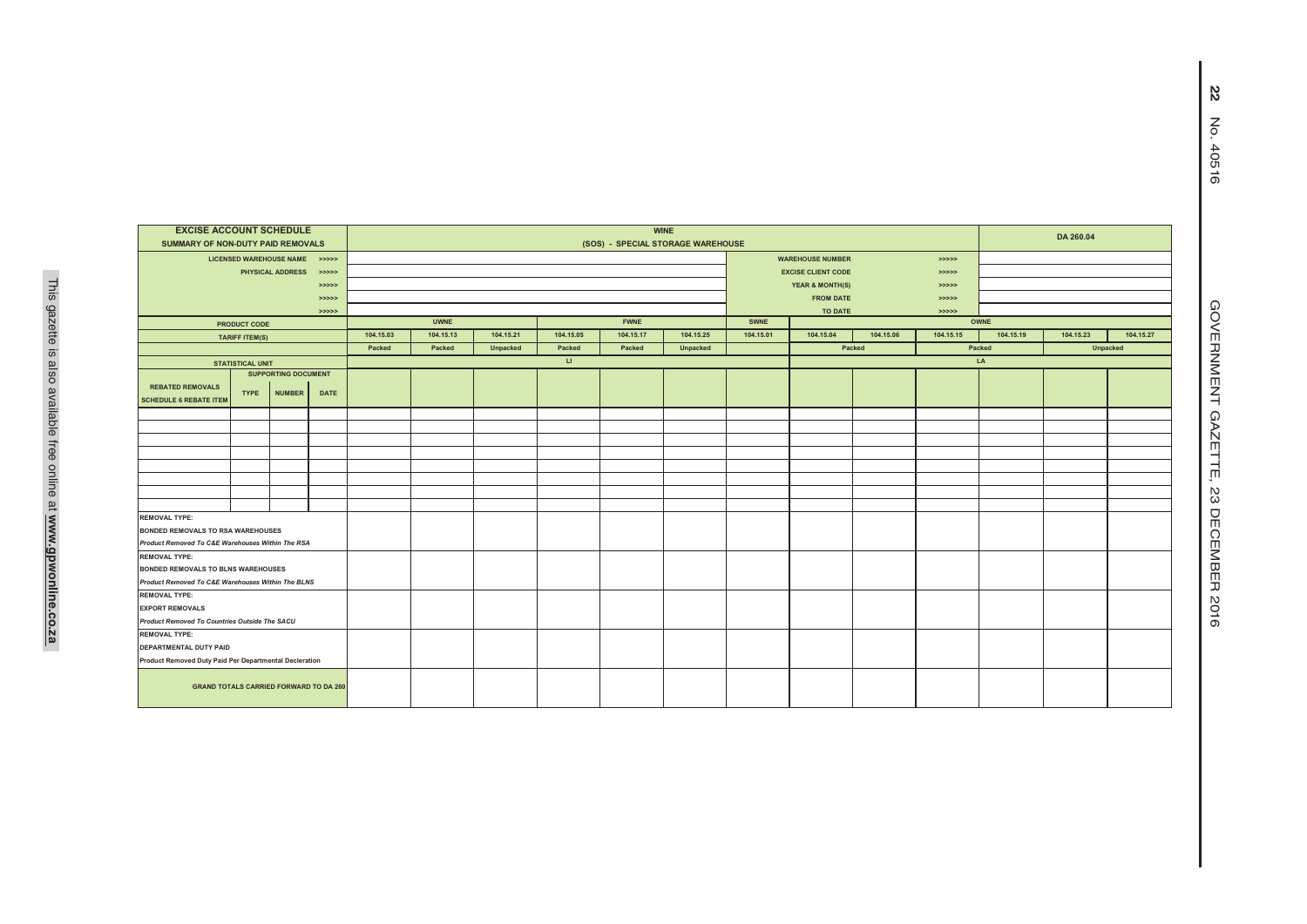| <b>WINE</b><br>DA 260.04<br>(SOS) - SPECIAL STORAGE WAREHOUSE |  |  |  |  |  |  |  |  |  |  |  |
|---------------------------------------------------------------|--|--|--|--|--|--|--|--|--|--|--|
|                                                               |  |  |  |  |  |  |  |  |  |  |  |
|                                                               |  |  |  |  |  |  |  |  |  |  |  |
|                                                               |  |  |  |  |  |  |  |  |  |  |  |
|                                                               |  |  |  |  |  |  |  |  |  |  |  |
|                                                               |  |  |  |  |  |  |  |  |  |  |  |
|                                                               |  |  |  |  |  |  |  |  |  |  |  |
|                                                               |  |  |  |  |  |  |  |  |  |  |  |
| 104.15.19<br>104.15.23<br>104.15.27                           |  |  |  |  |  |  |  |  |  |  |  |
| <b>Unpacked</b>                                               |  |  |  |  |  |  |  |  |  |  |  |
|                                                               |  |  |  |  |  |  |  |  |  |  |  |
|                                                               |  |  |  |  |  |  |  |  |  |  |  |
|                                                               |  |  |  |  |  |  |  |  |  |  |  |
|                                                               |  |  |  |  |  |  |  |  |  |  |  |
|                                                               |  |  |  |  |  |  |  |  |  |  |  |
|                                                               |  |  |  |  |  |  |  |  |  |  |  |
|                                                               |  |  |  |  |  |  |  |  |  |  |  |
|                                                               |  |  |  |  |  |  |  |  |  |  |  |
|                                                               |  |  |  |  |  |  |  |  |  |  |  |
|                                                               |  |  |  |  |  |  |  |  |  |  |  |
|                                                               |  |  |  |  |  |  |  |  |  |  |  |
|                                                               |  |  |  |  |  |  |  |  |  |  |  |
|                                                               |  |  |  |  |  |  |  |  |  |  |  |
|                                                               |  |  |  |  |  |  |  |  |  |  |  |
|                                                               |  |  |  |  |  |  |  |  |  |  |  |
|                                                               |  |  |  |  |  |  |  |  |  |  |  |
|                                                               |  |  |  |  |  |  |  |  |  |  |  |
|                                                               |  |  |  |  |  |  |  |  |  |  |  |
|                                                               |  |  |  |  |  |  |  |  |  |  |  |
|                                                               |  |  |  |  |  |  |  |  |  |  |  |
|                                                               |  |  |  |  |  |  |  |  |  |  |  |
|                                                               |  |  |  |  |  |  |  |  |  |  |  |
|                                                               |  |  |  |  |  |  |  |  |  |  |  |
|                                                               |  |  |  |  |  |  |  |  |  |  |  |
|                                                               |  |  |  |  |  |  |  |  |  |  |  |